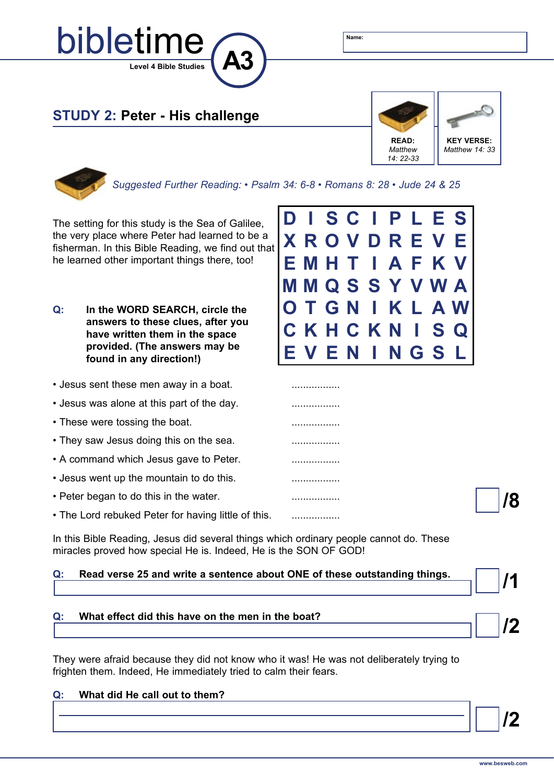

## **STUDY 2: Peter - His challenge**



*Suggested Further Reading: • Psalm 34: 6-8 • Romans 8: 28 • Jude 24 & 25*

The setting for this study is the Sea of Galilee, the very place where Peter had learned to be a fisherman. In this Bible Reading, we find out that he learned other important things there, too!

- **Q: In the WORD SEARCH, circle the answers to these clues, after you have written them in the space provided. (The answers may be found in any direction!)**
- Jesus sent these men away in a boat. .................
- Jesus was alone at this part of the day. .................
- These were tossing the boat. .................
- They saw Jesus doing this on the sea. .................
- A command which Jesus gave to Peter. .................
- Jesus went up the mountain to do this. .................
- Peter began to do this in the water. .................
- The Lord rebuked Peter for having little of this. ..................

In this Bible Reading, Jesus did several things which ordinary people cannot do. These miracles proved how special He is. Indeed, He is the SON OF GOD!

#### **Q: Read verse 25 and write a sentence about ONE of these outstanding things.**

### **Q: What effect did this have on the men in the boat?**

They were afraid because they did not know who it was! He was not deliberately trying to frighten them. Indeed, He immediately tried to calm their fears.

# **/2 Q: What did He call out to them?**



| $\overline{14}$ |  |
|-----------------|--|

**/8** 

**/2**